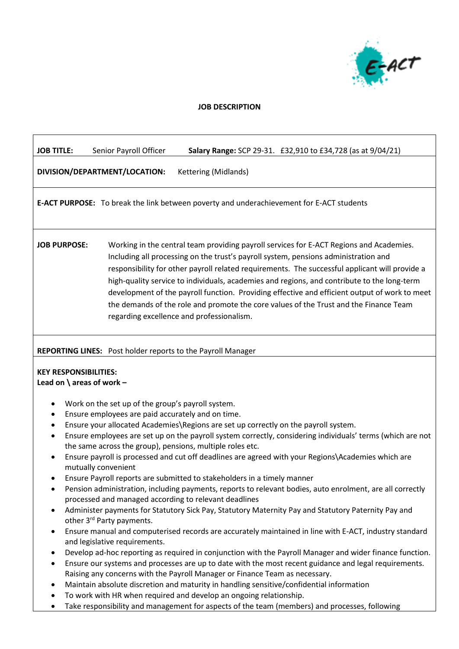

# **JOB DESCRIPTION**

| <b>JOB TITLE:</b>                                                                                                                | Senior Payroll Officer<br>Salary Range: SCP 29-31. £32,910 to £34,728 (as at 9/04/21)                                                                                                                                                                                                                                                                                                                                                                                                                                                                                                                                                                                                                                                                                                                                                                                                                                                                                                                                                                                                                                                                                                                                                                                                                                                                                                                          |  |  |
|----------------------------------------------------------------------------------------------------------------------------------|----------------------------------------------------------------------------------------------------------------------------------------------------------------------------------------------------------------------------------------------------------------------------------------------------------------------------------------------------------------------------------------------------------------------------------------------------------------------------------------------------------------------------------------------------------------------------------------------------------------------------------------------------------------------------------------------------------------------------------------------------------------------------------------------------------------------------------------------------------------------------------------------------------------------------------------------------------------------------------------------------------------------------------------------------------------------------------------------------------------------------------------------------------------------------------------------------------------------------------------------------------------------------------------------------------------------------------------------------------------------------------------------------------------|--|--|
| DIVISION/DEPARTMENT/LOCATION:                                                                                                    | Kettering (Midlands)                                                                                                                                                                                                                                                                                                                                                                                                                                                                                                                                                                                                                                                                                                                                                                                                                                                                                                                                                                                                                                                                                                                                                                                                                                                                                                                                                                                           |  |  |
|                                                                                                                                  | E-ACT PURPOSE: To break the link between poverty and underachievement for E-ACT students                                                                                                                                                                                                                                                                                                                                                                                                                                                                                                                                                                                                                                                                                                                                                                                                                                                                                                                                                                                                                                                                                                                                                                                                                                                                                                                       |  |  |
| <b>JOB PURPOSE:</b>                                                                                                              | Working in the central team providing payroll services for E-ACT Regions and Academies.<br>Including all processing on the trust's payroll system, pensions administration and<br>responsibility for other payroll related requirements. The successful applicant will provide a<br>high-quality service to individuals, academies and regions, and contribute to the long-term<br>development of the payroll function. Providing effective and efficient output of work to meet<br>the demands of the role and promote the core values of the Trust and the Finance Team<br>regarding excellence and professionalism.                                                                                                                                                                                                                                                                                                                                                                                                                                                                                                                                                                                                                                                                                                                                                                                         |  |  |
| REPORTING LINES: Post holder reports to the Payroll Manager<br><b>KEY RESPONSIBILITIES:</b><br>Lead on $\langle$ areas of work - |                                                                                                                                                                                                                                                                                                                                                                                                                                                                                                                                                                                                                                                                                                                                                                                                                                                                                                                                                                                                                                                                                                                                                                                                                                                                                                                                                                                                                |  |  |
| $\bullet$<br>٠<br>٠<br>mutually convenient<br>$\bullet$<br>$\bullet$<br>٠<br>$\bullet$                                           | Work on the set up of the group's payroll system.<br>Ensure employees are paid accurately and on time.<br>Ensure your allocated Academies\Regions are set up correctly on the payroll system.<br>Ensure employees are set up on the payroll system correctly, considering individuals' terms (which are not<br>the same across the group), pensions, multiple roles etc.<br>Ensure payroll is processed and cut off deadlines are agreed with your Regions\Academies which are<br>Ensure Payroll reports are submitted to stakeholders in a timely manner<br>Pension administration, including payments, reports to relevant bodies, auto enrolment, are all correctly<br>processed and managed according to relevant deadlines<br>Administer payments for Statutory Sick Pay, Statutory Maternity Pay and Statutory Paternity Pay and<br>other 3rd Party payments.<br>Ensure manual and computerised records are accurately maintained in line with E-ACT, industry standard<br>and legislative requirements.<br>Develop ad-hoc reporting as required in conjunction with the Payroll Manager and wider finance function.<br>Ensure our systems and processes are up to date with the most recent guidance and legal requirements.<br>Raising any concerns with the Payroll Manager or Finance Team as necessary.<br>Maintain absolute discretion and maturity in handling sensitive/confidential information |  |  |

- To work with HR when required and develop an ongoing relationship.
- Take responsibility and management for aspects of the team (members) and processes, following